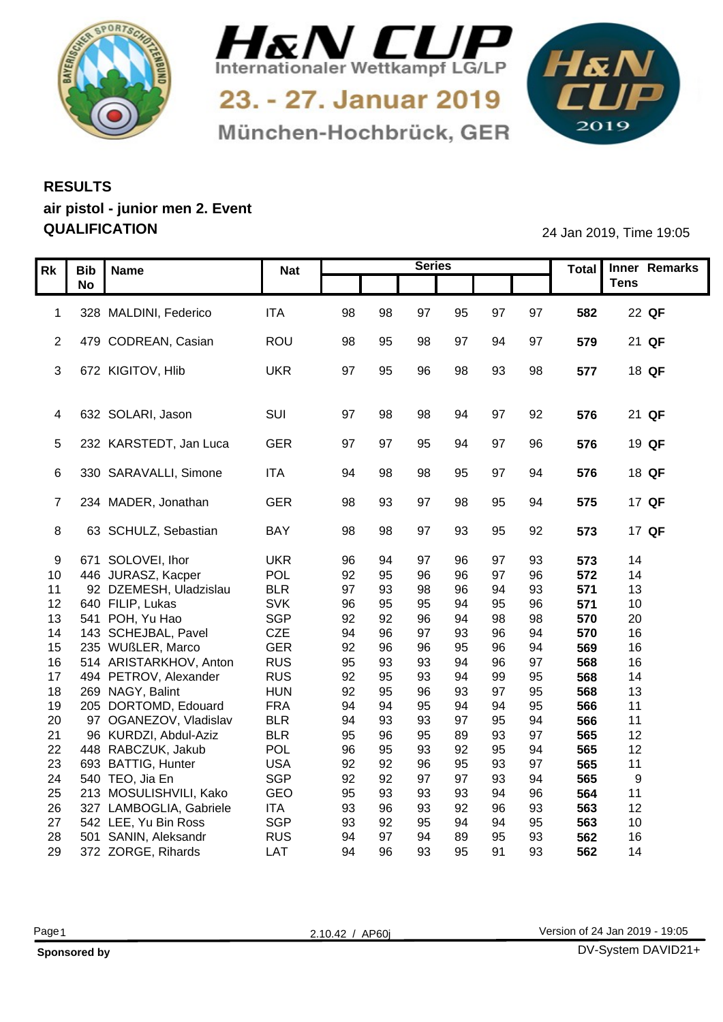



München-Hochbrück, GER

1&N 

## **RESULTS air pistol - junior men 2. Event QUALIFICATION** 24 Jan 2019, Time 19:05

|    |                                                 |                   |          |          | <b>Series</b> |          |          |                | Total      | Inner Remarks         |
|----|-------------------------------------------------|-------------------|----------|----------|---------------|----------|----------|----------------|------------|-----------------------|
|    | Rk   Bib   Name<br>No                           | <b>Nat</b>        |          |          |               |          |          |                |            | Tens                  |
|    |                                                 |                   |          |          |               |          |          |                |            |                       |
|    | 1 328 MALDINI, Federico                         | <b>ITA</b>        | 98       | 98       | 97            | 95       | 97       | 97             | 582        | 22 QF                 |
|    |                                                 |                   |          |          |               |          |          |                |            |                       |
|    | 2 479 CODREAN, Casian                           | ROU               | 98       | 95       | 98            | 97       | 94       | 97             | 579        | 21 QF                 |
|    |                                                 |                   |          |          |               |          |          |                |            |                       |
|    | 3 672 KIGITOV, Hlib                             | UKR               | 97       | 95       | 96            | 98       | 93       | 98             | 577        | 18 QF                 |
|    |                                                 |                   |          |          |               |          |          |                |            |                       |
|    |                                                 |                   |          |          |               |          |          |                |            |                       |
|    | 4 632 SOLARI, Jason                             | SUI               | -97      |          | 98            |          | 97       | 92             | 576        | 21 QF                 |
|    | 5 232 KARSTEDT, Jan Luca                        | GER               |          | -97      | 95            |          | -97      |                | 576        | 19 QF                 |
|    |                                                 |                   |          |          |               |          |          |                |            |                       |
|    | 6 330 SARAVALLI, Simone                         | <b>ITA</b>        | .94      |          | 98            | 95       | 97       | $Q\Delta$      | 576        | 18 QF                 |
|    |                                                 |                   |          |          |               |          |          |                |            |                       |
|    | 7 234 MADER, Jonathan                           | GER               | 98       | 93       | 97            | 98       | 95       | 94             | 575        | 17 QF                 |
|    |                                                 |                   |          |          |               |          |          |                |            |                       |
| 8  | 63 SCHULZ, Sebastian                            | BAY               | 98       | 98       | 97            | 93       | 95       | 92             | 573        | 17 QF                 |
|    |                                                 |                   |          |          |               |          |          |                |            |                       |
|    | 9 671 SOLOVEI, Ihor                             | <b>UKR</b>        | 96       |          |               |          |          | 93             | 573        | 14                    |
|    | 10 446 JURASZ, Kacper                           | POL               | 92       | 95       | 96            | 96       |          | 96             | 572        | 14                    |
| 11 | 92 DZEMESH, Uladzislau                          | BLR               | 97       | 93       | 98            | 96       | 94       | 93             | 571        | 13                    |
|    | 12 640 FILIP, Lukas                             | <b>SVK</b>        | 96       | 95       | 95            | 94       | 95       | 96             | 571        | 10                    |
| 14 | 13 541 POH, Yu Hao<br>143 SCHEJBAL, Pavel       | SGP<br>CZE        | 92<br>94 | 92<br>96 | 96<br>97      | 93       | 98       | 98<br>$\Omega$ | 570<br>570 | 20<br>16              |
|    | 15 235 WUßLER, Marco                            | GER               | 92       | 96       | 96            | 95       | 96       | 94             | 569        | 16                    |
|    | 16 514 ARISTARKHOV, Anton                       | <b>RUS</b>        | 95       | 93       | 93            | 94       | 96       | 97             | 568        | 16                    |
|    | 17 494 PETROV, Alexander                        | <b>RUS</b>        | 92       | 95       | 93            | 94       | 99       | 95             | 568        | 14                    |
| 18 | 269 NAGY, Balint                                | <b>HUN</b>        | 92       | 95       | 96            | 93       |          | 95             | 568        | 13                    |
| 19 | 205 DORTOMD, Edouard                            | <b>FRA</b>        | 94       | 94       | 95            | 94       | 94       | 95             | 566        | 11                    |
| 20 | 97 OGANEZOV, Vladislav                          | BLR               | 94       | 93       | 93            | 97       | 95       | 94             | 566        | 11                    |
| 21 | 96 KURDZI, Abdul-Aziz                           | BLR               | 95       | 96       | 95            | 89       | 93       | 97             | 565        | 12                    |
|    | 22 448 RABCZUK, Jakub                           | POL               | 96       | 95       | 93            | 92       | 95       | 94             | 565        | 12                    |
| 23 | 693 BATTIG, Hunter                              | <b>USA</b>        | 92       | 92       | 96            | 95       | 93       | 97             | 565        | 11                    |
|    | 24 540 TEO, Jia En                              | SGP               | 92       | 92       | 97            | 97       | 93       | 94             | 565        | -9                    |
|    | 25 213 MOSULISHVILI, Kako                       | GEO               | 95       | 93       | 93            | 93       | 94       | 96             | 564        | 11                    |
| 26 | 327 LAMBOGLIA, Gabriele                         | <b>ITA</b>        | 93       | 96       | 93            | 92       | 96       | 93             | 563        | 12                    |
|    | 27 542 LEE, Yu Bin Ross<br>501 SANIN, Aleksandr | SGP<br><b>RUS</b> | 93<br>94 | 92<br>97 | 95            | 94       | 94<br>95 | 95             | 563        | 10 <sup>°</sup><br>16 |
| 28 | 29 372 ZORGE, Rihards                           | <b>LAT</b>        | 94       | 96       | 93            | 89<br>95 | 91       | 93<br>93       | 562<br>562 | 14                    |
|    |                                                 |                   |          |          |               |          |          |                |            |                       |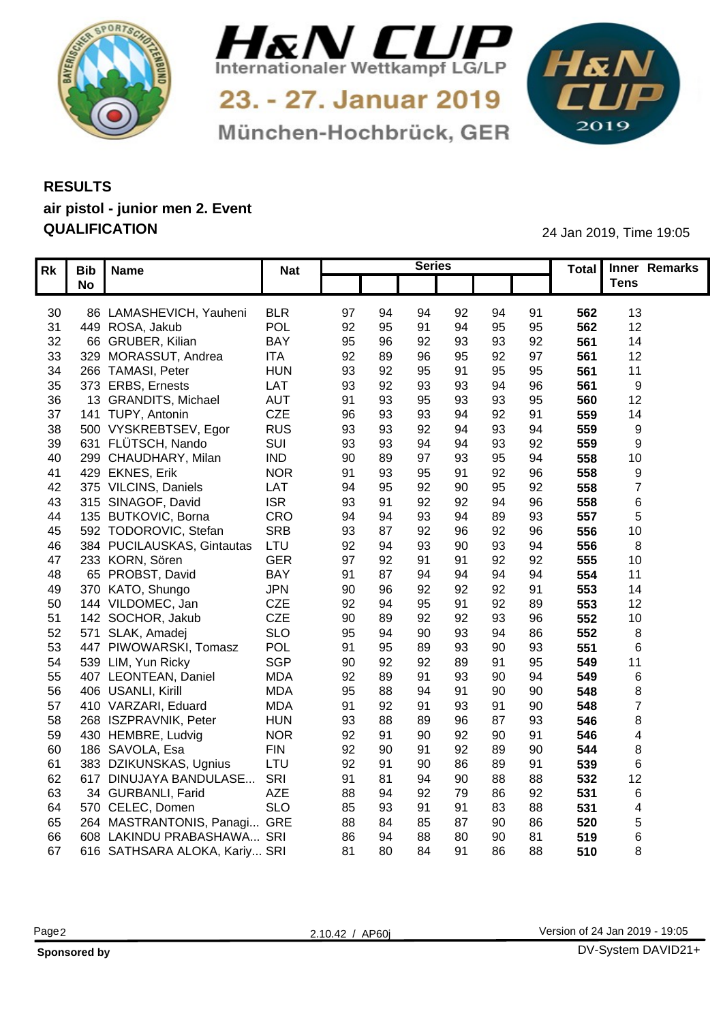



München-Hochbrück, GER

1&N 

## **RESULTS air pistol - junior men 2. Event QUALIFICATION** 24 Jan 2019, Time 19:05

|                 | $\sqrt{Rk}$ Bib $\sqrt{N}$ ame                       | <b>Nat</b> |                |     | <b>Series</b> |                |    |                 | Total Inner Remarks |
|-----------------|------------------------------------------------------|------------|----------------|-----|---------------|----------------|----|-----------------|---------------------|
|                 | <b>No</b>                                            |            |                |     |               |                |    |                 | Tens                |
|                 |                                                      |            |                |     |               |                |    |                 |                     |
| 30              | 86 LAMASHEVICH, Yauheni                              | <b>BLR</b> | 97<br>94       | 94  | 92            | 94             | 91 | 562             | 13                  |
| 31              | 449 ROSA, Jakub                                      | POL        | 92<br>95       |     | 94            | 95             | 95 | 562             | 12 <sup>°</sup>     |
| 32 <sup>2</sup> | 66 GRUBER, Kilian                                    | <b>BAY</b> | 95<br>96       | 92  | 93            | 93             | 92 | 561             | 14                  |
| 33              | 329 MORASSUT, Andrea                                 | <b>ITA</b> | 92<br>89       | 96  | 95            | 92             | 97 | 561             | 12                  |
| 34              | 266 TAMASI, Peter                                    | <b>HUN</b> | 93<br>92       | 95  | 91            | 95             | 95 | 56 <sup>°</sup> | 11                  |
| 35              | 373 ERBS, Ernests                                    | LAT        | 93<br>92       | 93  | 93            |                | 96 | 56 <sup>°</sup> |                     |
| 36              | 13 GRANDITS, Michael                                 | AUT        | 91<br>93       | 95  | 93            | 93             | 95 | 560             | 12                  |
| 37              | 141 TUPY, Antonin                                    | CZE        | 96             |     | 94            | 92             | 91 | 559             | 14                  |
| 38              | 500 VYSKREBTSEV, Egor                                | <b>RUS</b> | 93<br>93       | 92  | ٩4            | 93             | 94 | 559             | - 0                 |
| 39              | 631 FLÜTSCH, Nando                                   | SUI        | 93<br>93       |     | 94            | 93             | 92 | 559             | ം                   |
| 40              | 299 CHAUDHARY, Milan                                 | <b>IND</b> | 90<br>89       |     | 93            | 95             | 94 | 558             | 10                  |
| 41              | 429 EKNES, Erik                                      | <b>NOR</b> | 91<br>93       | 95  | 91            | 92             | 96 | 558             |                     |
|                 | 42 375 VILCINS, Daniels                              | LAT        | 94<br>95       | 92  | 90            | 95             | 92 | 558             |                     |
|                 | 315 SINAGOF, David<br>43                             | <b>ISR</b> | 93             | 92  | 92            | 94             | 96 | 558             |                     |
| 44              | 135 BUTKOVIC, Borna                                  | CRO        | 94             | 93  | 94            |                | 93 | 557             |                     |
| 45              | 592 TODOROVIC, Stefan                                | <b>SRB</b> | 93<br>$\Omega$ | 92  | 96            | Q <sub>2</sub> | 96 | 556             | 10                  |
| 46              | 384 PUCILAUSKAS, Gintautas                           | LTU        | 92             | 93  | 90            | 93             | 94 | 556             |                     |
| 47              | 233 KORN, Sören                                      | <b>GER</b> | 97<br>92       |     | 91            | 92             | 92 | 555             | 10                  |
| 48              | 65 PROBST, David                                     | <b>BAY</b> | 91             |     | ۹4            |                | 94 | 554             | 11                  |
|                 | 49 370 KATO, Shungo                                  | <b>JPN</b> | 90<br>96       | 92  | 92            | 92             | 91 | 553             | 14                  |
|                 | 50 144 VILDOMEC, Jan                                 | CZE        | 92             |     | 91            | 92             | 89 | 553             | 12 <sub>2</sub>     |
|                 | 51 142 SOCHOR, Jakub                                 | CZE        | 90<br>89       | 92  | 92            | 93             | 96 | 552             | 10                  |
|                 | 52 571 SLAK, Amadej                                  | <b>SLO</b> | 95<br>-94      | 90  | 93            | 94             | 86 | 552             |                     |
|                 | 53 447 PIWOWARSKI, Tomasz                            | POL        | 91<br>95       | 89  | 93            | 90             | 93 | 551             |                     |
|                 | 539 LIM, Yun Ricky<br>54                             | SGP        | 90<br>92       | 92  | 89            | ٩              | 95 | 549             | 11                  |
|                 | 407 LEONTEAN, Daniel<br>55                           | <b>MDA</b> | 92             |     | 93            | 90             | 94 | 549             |                     |
|                 | 56 406 USANLI, Kirill                                | <b>MDA</b> | 95<br>88       |     | 91            | 90             | 90 | 548             |                     |
|                 | 57 410 VARZARI, Eduard                               | <b>MDA</b> | 91<br>92       |     | 93            | ٩              | 90 | 548             |                     |
|                 | 58 268 ISZPRAVNIK, Peter                             | <b>HUN</b> | 93<br>88       | 89  | 96            |                | 93 | 546             | -8                  |
|                 | 59 430 HEMBRE, Ludvig                                | <b>NOR</b> | 92             | 90  | 92            | 90             | 91 | 546             |                     |
|                 | 60 186 SAVOLA, Esa                                   | <b>FIN</b> | 92             |     | 92            |                | 90 | 544             |                     |
|                 |                                                      | LTU        | 90             | 90  | 86            | 89             | 91 |                 |                     |
| 61              | 383 DZIKUNSKAS, Ugnius<br>617 DINUJAYA BANDULASE SRI |            | 92             |     | 90            |                |    | 539             |                     |
| 62              |                                                      |            | 91             |     |               | 88             | 88 | 532             | 12 <sub>2</sub>     |
|                 | 63 34 GURBANLI, Farid                                | AZE        | 88             | 92  | 79            | 86             | 92 | 531             | - 6                 |
| 64              | 570 CELEC, Domen                                     | <b>SLO</b> | 85             |     |               | 83             | 88 | 531             |                     |
|                 | 65 264 MASTRANTONIS, Panagi GRE                      |            | 88             |     |               |                | 86 | 520             |                     |
|                 | 608 LAKINDU PRABASHAWA SRI<br>66                     |            | 86             |     | 80            | 90             | 81 | 519             |                     |
|                 | 67 616 SATHSARA ALOKA, Kariy SRI                     |            | 81<br>80       | -84 | 91            | 86             | 88 | 510             |                     |